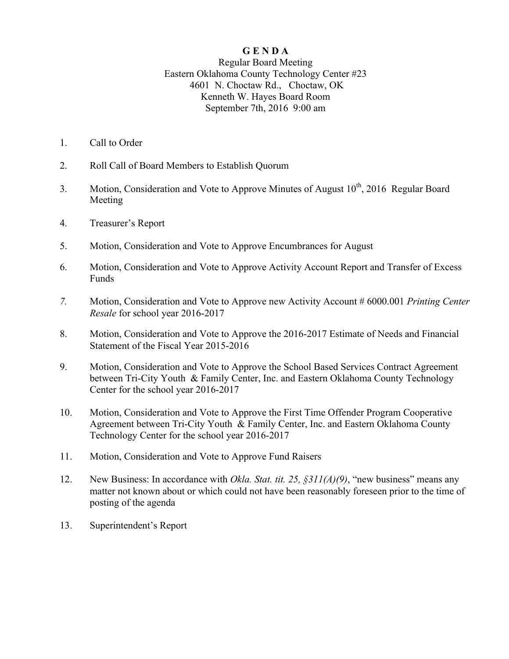## **G E N D A**

## Regular Board Meeting Eastern Oklahoma County Technology Center #23 4601 N. Choctaw Rd., Choctaw, OK Kenneth W. Hayes Board Room September 7th, 2016 9:00 am

- 1. Call to Order
- 2. Roll Call of Board Members to Establish Quorum
- 3. Motion, Consideration and Vote to Approve Minutes of August  $10^{th}$ , 2016 Regular Board Meeting
- 4. Treasurer's Report
- 5. Motion, Consideration and Vote to Approve Encumbrances for August
- 6. Motion, Consideration and Vote to Approve Activity Account Report and Transfer of Excess Funds
- *7.* Motion, Consideration and Vote to Approve new Activity Account # 6000.001 *Printing Center Resale* for school year 2016-2017
- 8. Motion, Consideration and Vote to Approve the 2016-2017 Estimate of Needs and Financial Statement of the Fiscal Year 2015-2016
- 9. Motion, Consideration and Vote to Approve the School Based Services Contract Agreement between Tri-City Youth & Family Center, Inc. and Eastern Oklahoma County Technology Center for the school year 2016-2017
- 10. Motion, Consideration and Vote to Approve the First Time Offender Program Cooperative Agreement between Tri-City Youth & Family Center, Inc. and Eastern Oklahoma County Technology Center for the school year 2016-2017
- 11. Motion, Consideration and Vote to Approve Fund Raisers
- 12. New Business: In accordance with *Okla. Stat. tit. 25, §311(A)(9)*, "new business" means any matter not known about or which could not have been reasonably foreseen prior to the time of posting of the agenda
- 13. Superintendent's Report